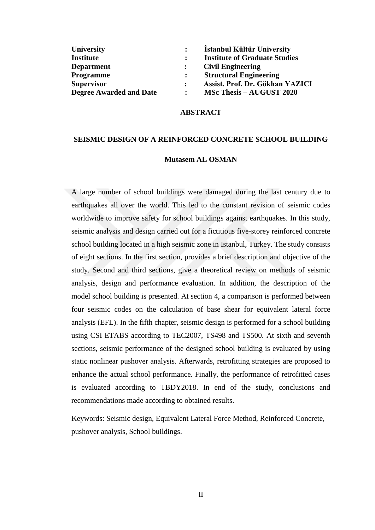| <b>University</b>              | $\ddot{\cdot}$ | <b>İstanbul Kültür University</b>    |
|--------------------------------|----------------|--------------------------------------|
| <b>Institute</b>               |                | <b>Institute of Graduate Studies</b> |
| <b>Department</b>              |                | <b>Civil Engineering</b>             |
| <b>Programme</b>               |                | <b>Structural Engineering</b>        |
| <b>Supervisor</b>              |                | Assist. Prof. Dr. Gökhan YAZICI      |
| <b>Degree Awarded and Date</b> |                | <b>MSc Thesis – AUGUST 2020</b>      |

## **ABSTRACT**

## **SEISMIC DESIGN OF A REINFORCED CONCRETE SCHOOL BUILDING**

## **Mutasem AL OSMAN**

A large number of school buildings were damaged during the last century due to earthquakes all over the world. This led to the constant revision of seismic codes worldwide to improve safety for school buildings against earthquakes. In this study, seismic analysis and design carried out for a fictitious five-storey reinforced concrete school building located in a high seismic zone in Istanbul, Turkey. The study consists of eight sections. In the first section, provides a brief description and objective of the study. Second and third sections, give a theoretical review on methods of seismic analysis, design and performance evaluation. In addition, the description of the model school building is presented. At section 4, a comparison is performed between four seismic codes on the calculation of base shear for equivalent lateral force analysis (EFL). In the fifth chapter, seismic design is performed for a school building using CSI ETABS according to TEC2007, TS498 and TS500. At sixth and seventh sections, seismic performance of the designed school building is evaluated by using static nonlinear pushover analysis. Afterwards, retrofitting strategies are proposed to enhance the actual school performance. Finally, the performance of retrofitted cases is evaluated according to TBDY2018. In end of the study, conclusions and recommendations made according to obtained results.

Keywords: Seismic design, Equivalent Lateral Force Method, Reinforced Concrete, pushover analysis, School buildings.